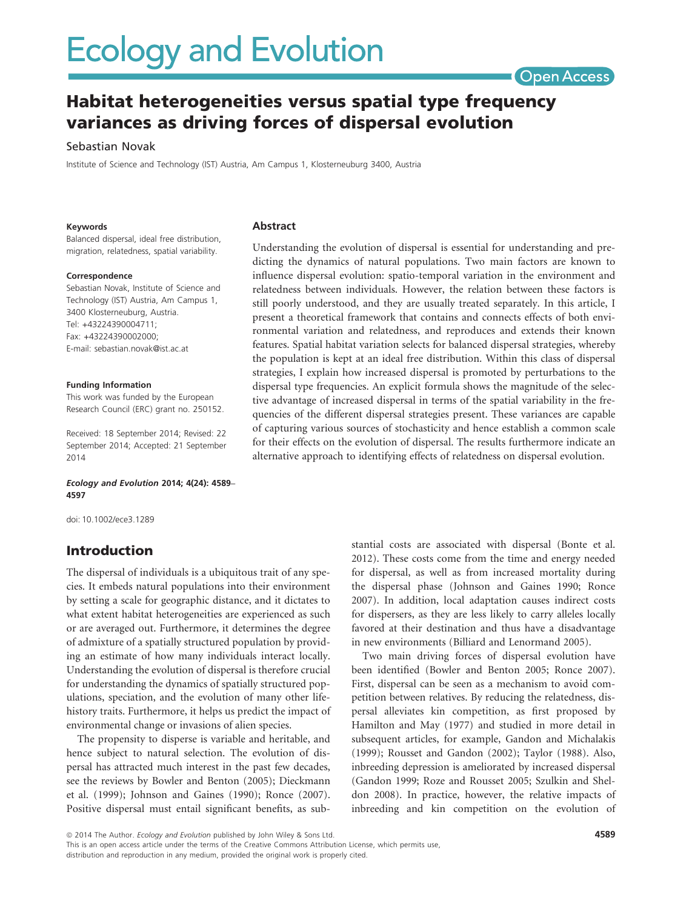# **Ecology and Evolution**

# **Open Access**

# Habitat heterogeneities versus spatial type frequency variances as driving forces of dispersal evolution

#### Sebastian Novak

Institute of Science and Technology (IST) Austria, Am Campus 1, Klosterneuburg 3400, Austria

#### Keywords

Balanced dispersal, ideal free distribution, migration, relatedness, spatial variability.

#### Correspondence

Sebastian Novak, Institute of Science and Technology (IST) Austria, Am Campus 1, 3400 Klosterneuburg, Austria. Tel: +43224390004711; Fax: +43224390002000; E-mail: sebastian.novak@ist.ac.at

#### Funding Information

This work was funded by the European Research Council (ERC) grant no. 250152.

Received: 18 September 2014; Revised: 22 September 2014; Accepted: 21 September 2014

Ecology and Evolution 2014; 4(24): 4589– 4597

doi: 10.1002/ece3.1289

# Introduction

The dispersal of individuals is a ubiquitous trait of any species. It embeds natural populations into their environment by setting a scale for geographic distance, and it dictates to what extent habitat heterogeneities are experienced as such or are averaged out. Furthermore, it determines the degree of admixture of a spatially structured population by providing an estimate of how many individuals interact locally. Understanding the evolution of dispersal is therefore crucial for understanding the dynamics of spatially structured populations, speciation, and the evolution of many other lifehistory traits. Furthermore, it helps us predict the impact of environmental change or invasions of alien species.

The propensity to disperse is variable and heritable, and hence subject to natural selection. The evolution of dispersal has attracted much interest in the past few decades, see the reviews by Bowler and Benton (2005); Dieckmann et al. (1999); Johnson and Gaines (1990); Ronce (2007). Positive dispersal must entail significant benefits, as sub-

#### Abstract

Understanding the evolution of dispersal is essential for understanding and predicting the dynamics of natural populations. Two main factors are known to influence dispersal evolution: spatio-temporal variation in the environment and relatedness between individuals. However, the relation between these factors is still poorly understood, and they are usually treated separately. In this article, I present a theoretical framework that contains and connects effects of both environmental variation and relatedness, and reproduces and extends their known features. Spatial habitat variation selects for balanced dispersal strategies, whereby the population is kept at an ideal free distribution. Within this class of dispersal strategies, I explain how increased dispersal is promoted by perturbations to the dispersal type frequencies. An explicit formula shows the magnitude of the selective advantage of increased dispersal in terms of the spatial variability in the frequencies of the different dispersal strategies present. These variances are capable of capturing various sources of stochasticity and hence establish a common scale for their effects on the evolution of dispersal. The results furthermore indicate an alternative approach to identifying effects of relatedness on dispersal evolution.

> stantial costs are associated with dispersal (Bonte et al. 2012). These costs come from the time and energy needed for dispersal, as well as from increased mortality during the dispersal phase (Johnson and Gaines 1990; Ronce 2007). In addition, local adaptation causes indirect costs for dispersers, as they are less likely to carry alleles locally favored at their destination and thus have a disadvantage in new environments (Billiard and Lenormand 2005).

> Two main driving forces of dispersal evolution have been identified (Bowler and Benton 2005; Ronce 2007). First, dispersal can be seen as a mechanism to avoid competition between relatives. By reducing the relatedness, dispersal alleviates kin competition, as first proposed by Hamilton and May (1977) and studied in more detail in subsequent articles, for example, Gandon and Michalakis (1999); Rousset and Gandon (2002); Taylor (1988). Also, inbreeding depression is ameliorated by increased dispersal (Gandon 1999; Roze and Rousset 2005; Szulkin and Sheldon 2008). In practice, however, the relative impacts of inbreeding and kin competition on the evolution of

ª 2014 The Author. Ecology and Evolution published by John Wiley & Sons Ltd.

This is an open access article under the terms of the Creative Commons Attribution License, which permits use, distribution and reproduction in any medium, provided the original work is properly cited.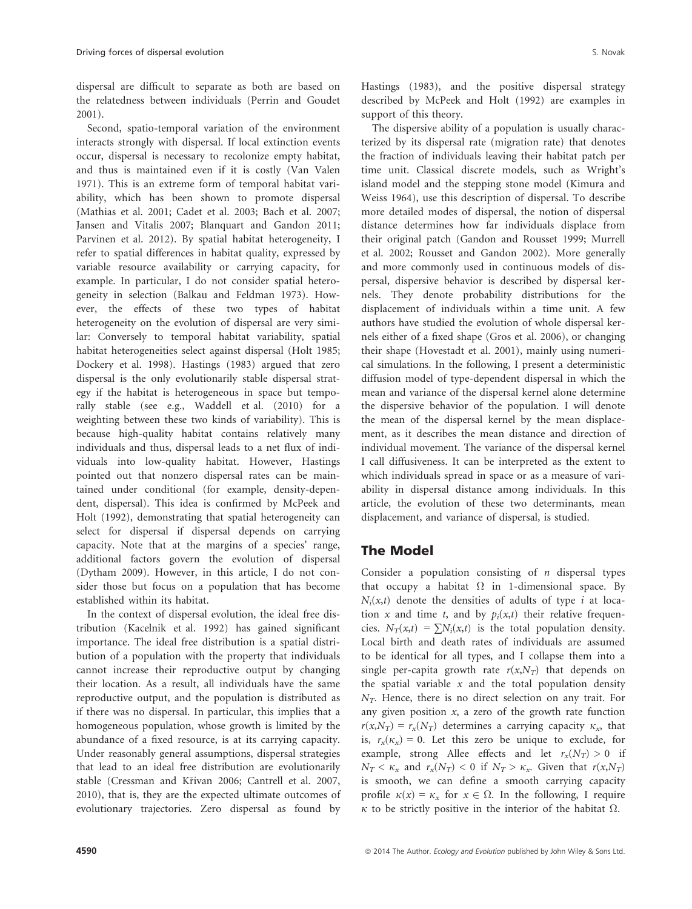dispersal are difficult to separate as both are based on the relatedness between individuals (Perrin and Goudet 2001).

Second, spatio-temporal variation of the environment interacts strongly with dispersal. If local extinction events occur, dispersal is necessary to recolonize empty habitat, and thus is maintained even if it is costly (Van Valen 1971). This is an extreme form of temporal habitat variability, which has been shown to promote dispersal (Mathias et al. 2001; Cadet et al. 2003; Bach et al. 2007; Jansen and Vitalis 2007; Blanquart and Gandon 2011; Parvinen et al. 2012). By spatial habitat heterogeneity, I refer to spatial differences in habitat quality, expressed by variable resource availability or carrying capacity, for example. In particular, I do not consider spatial heterogeneity in selection (Balkau and Feldman 1973). However, the effects of these two types of habitat heterogeneity on the evolution of dispersal are very similar: Conversely to temporal habitat variability, spatial habitat heterogeneities select against dispersal (Holt 1985; Dockery et al. 1998). Hastings (1983) argued that zero dispersal is the only evolutionarily stable dispersal strategy if the habitat is heterogeneous in space but temporally stable (see e.g., Waddell et al. (2010) for a weighting between these two kinds of variability). This is because high-quality habitat contains relatively many individuals and thus, dispersal leads to a net flux of individuals into low-quality habitat. However, Hastings pointed out that nonzero dispersal rates can be maintained under conditional (for example, density-dependent, dispersal). This idea is confirmed by McPeek and Holt (1992), demonstrating that spatial heterogeneity can select for dispersal if dispersal depends on carrying capacity. Note that at the margins of a species' range, additional factors govern the evolution of dispersal (Dytham 2009). However, in this article, I do not consider those but focus on a population that has become established within its habitat.

In the context of dispersal evolution, the ideal free distribution (Kacelnik et al. 1992) has gained significant importance. The ideal free distribution is a spatial distribution of a population with the property that individuals cannot increase their reproductive output by changing their location. As a result, all individuals have the same reproductive output, and the population is distributed as if there was no dispersal. In particular, this implies that a homogeneous population, whose growth is limited by the abundance of a fixed resource, is at its carrying capacity. Under reasonably general assumptions, dispersal strategies that lead to an ideal free distribution are evolutionarily stable (Cressman and Krivan 2006; Cantrell et al. 2007, 2010), that is, they are the expected ultimate outcomes of evolutionary trajectories. Zero dispersal as found by Hastings (1983), and the positive dispersal strategy described by McPeek and Holt (1992) are examples in support of this theory.

The dispersive ability of a population is usually characterized by its dispersal rate (migration rate) that denotes the fraction of individuals leaving their habitat patch per time unit. Classical discrete models, such as Wright's island model and the stepping stone model (Kimura and Weiss 1964), use this description of dispersal. To describe more detailed modes of dispersal, the notion of dispersal distance determines how far individuals displace from their original patch (Gandon and Rousset 1999; Murrell et al. 2002; Rousset and Gandon 2002). More generally and more commonly used in continuous models of dispersal, dispersive behavior is described by dispersal kernels. They denote probability distributions for the displacement of individuals within a time unit. A few authors have studied the evolution of whole dispersal kernels either of a fixed shape (Gros et al. 2006), or changing their shape (Hovestadt et al. 2001), mainly using numerical simulations. In the following, I present a deterministic diffusion model of type-dependent dispersal in which the mean and variance of the dispersal kernel alone determine the dispersive behavior of the population. I will denote the mean of the dispersal kernel by the mean displacement, as it describes the mean distance and direction of individual movement. The variance of the dispersal kernel I call diffusiveness. It can be interpreted as the extent to which individuals spread in space or as a measure of variability in dispersal distance among individuals. In this article, the evolution of these two determinants, mean displacement, and variance of dispersal, is studied.

## The Model

Consider a population consisting of  $n$  dispersal types that occupy a habitat  $\Omega$  in 1-dimensional space. By  $N_i(x,t)$  denote the densities of adults of type i at location x and time t, and by  $p_i(x,t)$  their relative frequencies.  $N_T(x,t) = \sum N_i(x,t)$  is the total population density. Local birth and death rates of individuals are assumed to be identical for all types, and I collapse them into a single per-capita growth rate  $r(x, N_T)$  that depends on the spatial variable  $x$  and the total population density  $N_T$ . Hence, there is no direct selection on any trait. For any given position  $x$ , a zero of the growth rate function  $r(x, N_T) = r_x(N_T)$  determines a carrying capacity  $\kappa_x$ , that is,  $r_x(\kappa_x) = 0$ . Let this zero be unique to exclude, for example, strong Allee effects and let  $r_x(N_T) > 0$  if  $N_T < \kappa_x$  and  $r_x(N_T) < 0$  if  $N_T > \kappa_x$ . Given that  $r(x, N_T)$ is smooth, we can define a smooth carrying capacity profile  $\kappa(x) = \kappa_x$  for  $x \in \Omega$ . In the following, I require  $\kappa$  to be strictly positive in the interior of the habitat  $\Omega$ .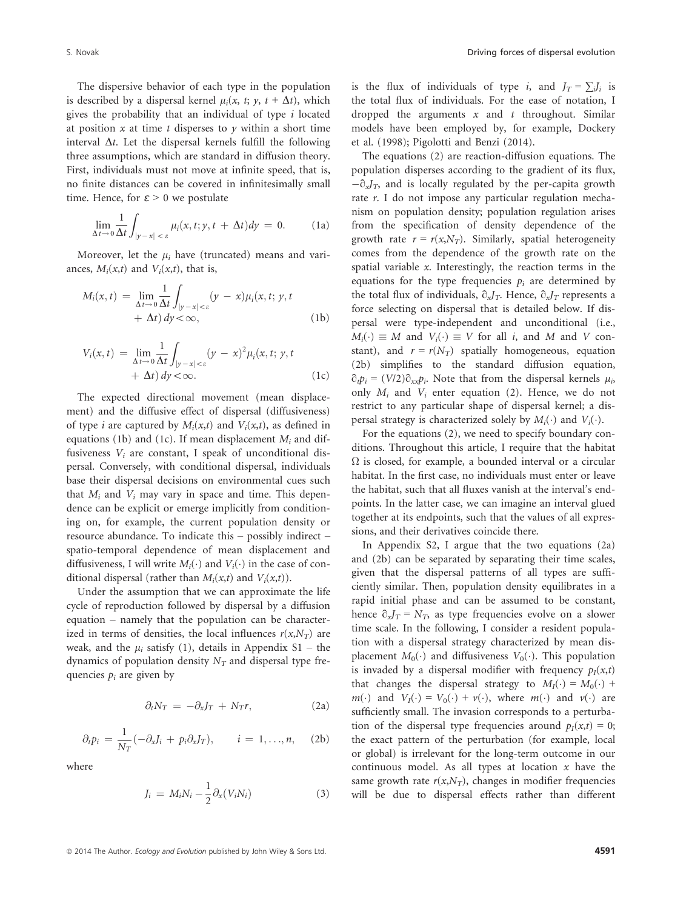The dispersive behavior of each type in the population is described by a dispersal kernel  $\mu_i(x, t; y, t + \Delta t)$ , which gives the probability that an individual of type  $i$  located at position  $x$  at time  $t$  disperses to  $y$  within a short time interval  $\Delta t$ . Let the dispersal kernels fulfill the following three assumptions, which are standard in diffusion theory. First, individuals must not move at infinite speed, that is, no finite distances can be covered in infinitesimally small time. Hence, for  $\varepsilon > 0$  we postulate

$$
\lim_{\Delta t \to 0} \frac{1}{\Delta t} \int_{|y-x| < \varepsilon} \mu_i(x, t; y, t + \Delta t) dy = 0.
$$
 (1a)

Moreover, let the  $\mu_i$  have (truncated) means and variances,  $M_i(x,t)$  and  $V_i(x,t)$ , that is,

$$
M_i(x,t) = \lim_{\Delta t \to 0} \frac{1}{\Delta t} \int_{|y-x|<\varepsilon} (y-x) \mu_i(x,t; y, t) + \Delta t \, dy < \infty,
$$
\n(1b)

$$
V_i(x,t) = \lim_{\Delta t \to 0} \frac{1}{\Delta t} \int_{|y-x| < \varepsilon} (y-x)^2 \mu_i(x,t; y, t) + \Delta t \, dy < \infty. \tag{1c}
$$

The expected directional movement (mean displacement) and the diffusive effect of dispersal (diffusiveness) of type *i* are captured by  $M_i(x,t)$  and  $V_i(x,t)$ , as defined in equations (1b) and (1c). If mean displacement  $M_i$  and diffusiveness  $V_i$  are constant, I speak of unconditional dispersal. Conversely, with conditional dispersal, individuals base their dispersal decisions on environmental cues such that  $M_i$  and  $V_i$  may vary in space and time. This dependence can be explicit or emerge implicitly from conditioning on, for example, the current population density or resource abundance. To indicate this – possibly indirect – spatio-temporal dependence of mean displacement and diffusiveness, I will write  $M_i(\cdot)$  and  $V_i(\cdot)$  in the case of conditional dispersal (rather than  $M_i(x,t)$  and  $V_i(x,t)$ ).

Under the assumption that we can approximate the life cycle of reproduction followed by dispersal by a diffusion equation – namely that the population can be characterized in terms of densities, the local influences  $r(x, N_T)$  are weak, and the  $\mu_i$  satisfy (1), details in Appendix S1 – the dynamics of population density  $N_T$  and dispersal type frequencies  $p_i$  are given by

$$
\partial_t N_T = -\partial_x J_T + N_T r, \qquad (2a)
$$

$$
\partial_t p_i = \frac{1}{N_T} (-\partial_x J_i + p_i \partial_x J_T), \qquad i = 1, ..., n, \quad (2b)
$$

where

$$
J_i = M_i N_i - \frac{1}{2} \partial_x (V_i N_i)
$$
 (3)

is the flux of individuals of type *i*, and  $J_T = \sum_i J_i$  is the total flux of individuals. For the ease of notation, I dropped the arguments  $x$  and  $t$  throughout. Similar models have been employed by, for example, Dockery et al. (1998); Pigolotti and Benzi (2014).

The equations (2) are reaction-diffusion equations. The population disperses according to the gradient of its flux,  $-\partial_x J_T$ , and is locally regulated by the per-capita growth rate r. I do not impose any particular regulation mechanism on population density; population regulation arises from the specification of density dependence of the growth rate  $r = r(x, N_T)$ . Similarly, spatial heterogeneity comes from the dependence of the growth rate on the spatial variable  $x$ . Interestingly, the reaction terms in the equations for the type frequencies  $p_i$  are determined by the total flux of individuals,  $\partial_x J_T$ . Hence,  $\partial_x J_T$  represents a force selecting on dispersal that is detailed below. If dispersal were type-independent and unconditional (i.e.,  $M_i(\cdot) \equiv M$  and  $V_i(\cdot) \equiv V$  for all i, and M and V constant), and  $r = r(N_T)$  spatially homogeneous, equation (2b) simplifies to the standard diffusion equation,  $\partial_t p_i = (V/2)\partial_{xx} p_i$ . Note that from the dispersal kernels  $\mu_i$ , only  $M_i$  and  $V_i$  enter equation (2). Hence, we do not restrict to any particular shape of dispersal kernel; a dispersal strategy is characterized solely by  $M_i(\cdot)$  and  $V_i(\cdot)$ .

For the equations (2), we need to specify boundary conditions. Throughout this article, I require that the habitat  $\Omega$  is closed, for example, a bounded interval or a circular habitat. In the first case, no individuals must enter or leave the habitat, such that all fluxes vanish at the interval's endpoints. In the latter case, we can imagine an interval glued together at its endpoints, such that the values of all expressions, and their derivatives coincide there.

In Appendix S2, I argue that the two equations (2a) and (2b) can be separated by separating their time scales, given that the dispersal patterns of all types are sufficiently similar. Then, population density equilibrates in a rapid initial phase and can be assumed to be constant, hence  $\partial_x J_T = N_T$ , as type frequencies evolve on a slower time scale. In the following, I consider a resident population with a dispersal strategy characterized by mean displacement  $M_0(\cdot)$  and diffusiveness  $V_0(\cdot)$ . This population is invaded by a dispersal modifier with frequency  $p_I(x,t)$ that changes the dispersal strategy to  $M_I(\cdot) = M_0(\cdot)$  +  $m(\cdot)$  and  $V_I(\cdot) = V_0(\cdot) + v(\cdot)$ , where  $m(\cdot)$  and  $v(\cdot)$  are sufficiently small. The invasion corresponds to a perturbation of the dispersal type frequencies around  $p_1(x,t) = 0$ ; the exact pattern of the perturbation (for example, local or global) is irrelevant for the long-term outcome in our continuous model. As all types at location  $x$  have the same growth rate  $r(x, N_T)$ , changes in modifier frequencies will be due to dispersal effects rather than different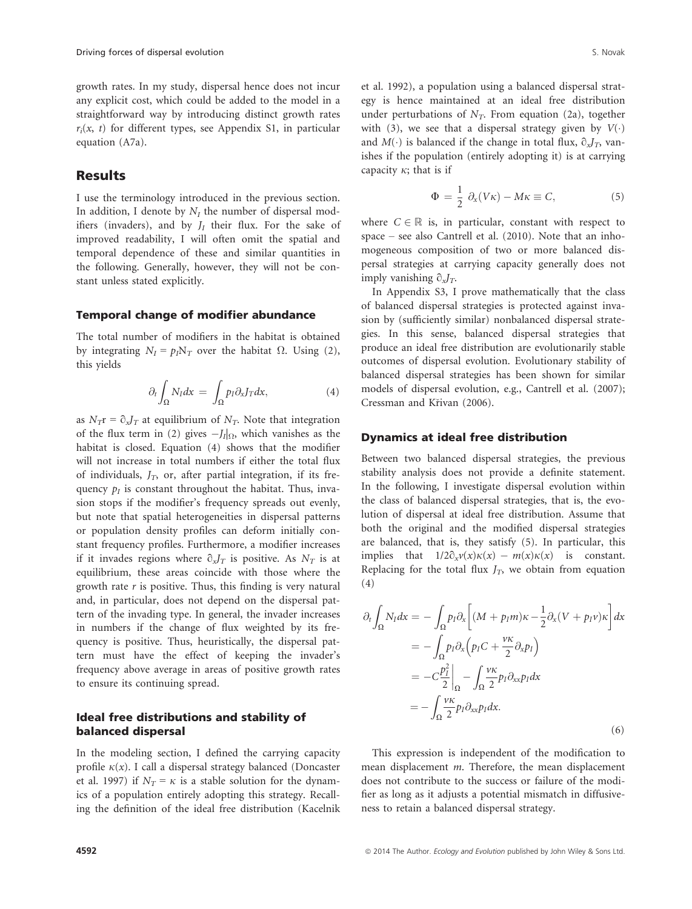growth rates. In my study, dispersal hence does not incur any explicit cost, which could be added to the model in a straightforward way by introducing distinct growth rates  $r_i(x, t)$  for different types, see Appendix S1, in particular equation (A7a).

#### Results

I use the terminology introduced in the previous section. In addition, I denote by  $N_I$  the number of dispersal modifiers (invaders), and by  $J_I$  their flux. For the sake of improved readability, I will often omit the spatial and temporal dependence of these and similar quantities in the following. Generally, however, they will not be constant unless stated explicitly.

#### Temporal change of modifier abundance

The total number of modifiers in the habitat is obtained by integrating  $N_I = p_I N_T$  over the habitat  $\Omega$ . Using (2), this yields

$$
\partial_t \int_{\Omega} N_I dx = \int_{\Omega} p_I \partial_x J_T dx, \tag{4}
$$

as  $N_T = \partial_x J_T$  at equilibrium of  $N_T$ . Note that integration of the flux term in (2) gives  $-J_I|_{\Omega}$ , which vanishes as the habitat is closed. Equation (4) shows that the modifier will not increase in total numbers if either the total flux of individuals,  $J_T$ , or, after partial integration, if its frequency  $p_I$  is constant throughout the habitat. Thus, invasion stops if the modifier's frequency spreads out evenly, but note that spatial heterogeneities in dispersal patterns or population density profiles can deform initially constant frequency profiles. Furthermore, a modifier increases if it invades regions where  $\partial_{x}J_{T}$  is positive. As  $N_{T}$  is at equilibrium, these areas coincide with those where the growth rate  $r$  is positive. Thus, this finding is very natural and, in particular, does not depend on the dispersal pattern of the invading type. In general, the invader increases in numbers if the change of flux weighted by its frequency is positive. Thus, heuristically, the dispersal pattern must have the effect of keeping the invader's frequency above average in areas of positive growth rates to ensure its continuing spread.

#### Ideal free distributions and stability of balanced dispersal

In the modeling section, I defined the carrying capacity profile  $\kappa(x)$ . I call a dispersal strategy balanced (Doncaster et al. 1997) if  $N_T = \kappa$  is a stable solution for the dynamics of a population entirely adopting this strategy. Recalling the definition of the ideal free distribution (Kacelnik

et al. 1992), a population using a balanced dispersal strategy is hence maintained at an ideal free distribution under perturbations of  $N_T$ . From equation (2a), together with (3), we see that a dispersal strategy given by  $V(.)$ and  $M(\cdot)$  is balanced if the change in total flux,  $\partial_{x}J_{T}$ , vanishes if the population (entirely adopting it) is at carrying capacity  $\kappa$ ; that is if

$$
\Phi = \frac{1}{2} \ \partial_x (V\kappa) - M\kappa \equiv C,\tag{5}
$$

where  $C \in \mathbb{R}$  is, in particular, constant with respect to space – see also Cantrell et al. (2010). Note that an inhomogeneous composition of two or more balanced dispersal strategies at carrying capacity generally does not imply vanishing  $\partial_x J_T$ .

In Appendix S3, I prove mathematically that the class of balanced dispersal strategies is protected against invasion by (sufficiently similar) nonbalanced dispersal strategies. In this sense, balanced dispersal strategies that produce an ideal free distribution are evolutionarily stable outcomes of dispersal evolution. Evolutionary stability of balanced dispersal strategies has been shown for similar models of dispersal evolution, e.g., Cantrell et al. (2007); Cressman and Křivan (2006).

#### Dynamics at ideal free distribution

Between two balanced dispersal strategies, the previous stability analysis does not provide a definite statement. In the following, I investigate dispersal evolution within the class of balanced dispersal strategies, that is, the evolution of dispersal at ideal free distribution. Assume that both the original and the modified dispersal strategies are balanced, that is, they satisfy (5). In particular, this implies that  $1/2\partial_x v(x)\kappa(x) - m(x)\kappa(x)$  is constant. Replacing for the total flux  $J_T$ , we obtain from equation (4)

$$
\partial_t \int_{\Omega} N_I dx = - \int_{\Omega} p_I \partial_x \left[ (M + p_I m) \kappa - \frac{1}{2} \partial_x (V + p_I \nu) \kappa \right] dx
$$
  

$$
= - \int_{\Omega} p_I \partial_x \left( p_I C + \frac{\nu \kappa}{2} \partial_x p_I \right)
$$
  

$$
= -C \frac{p_I^2}{2} \bigg|_{\Omega} - \int_{\Omega} \frac{\nu \kappa}{2} p_I \partial_{xx} p_I dx
$$
  

$$
= - \int_{\Omega} \frac{\nu \kappa}{2} p_I \partial_{xx} p_I dx.
$$
 (6)

This expression is independent of the modification to mean displacement *m*. Therefore, the mean displacement does not contribute to the success or failure of the modifier as long as it adjusts a potential mismatch in diffusiveness to retain a balanced dispersal strategy.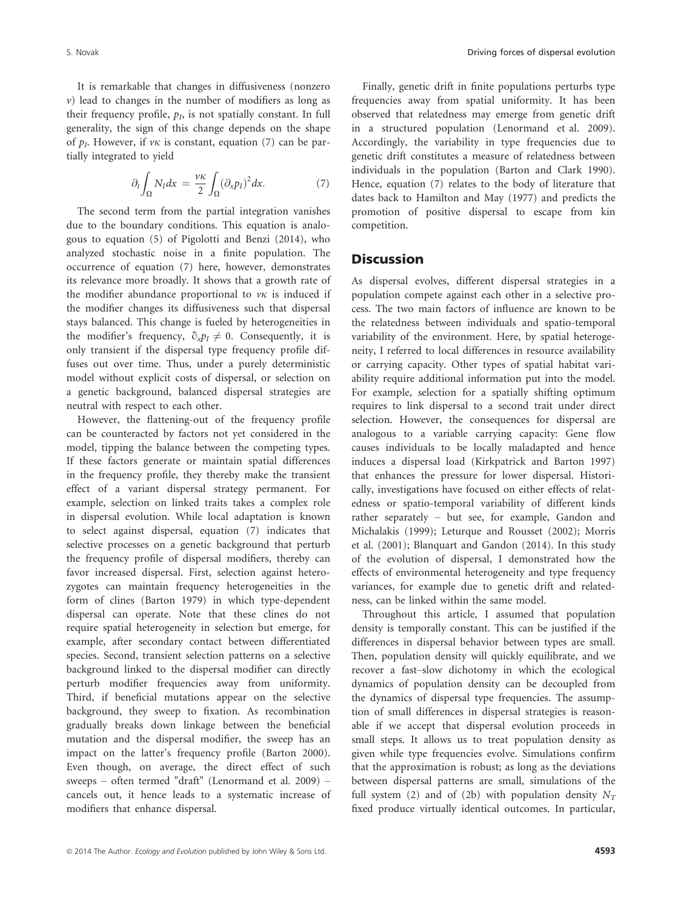It is remarkable that changes in diffusiveness (nonzero  $\nu$ ) lead to changes in the number of modifiers as long as their frequency profile,  $p<sub>I</sub>$ , is not spatially constant. In full generality, the sign of this change depends on the shape of  $p<sub>I</sub>$ . However, if  $\nu\kappa$  is constant, equation (7) can be partially integrated to yield

$$
\partial_t \int_{\Omega} N_I dx = \frac{\nu \kappa}{2} \int_{\Omega} (\partial_x p_I)^2 dx. \tag{7}
$$

The second term from the partial integration vanishes due to the boundary conditions. This equation is analogous to equation (5) of Pigolotti and Benzi (2014), who analyzed stochastic noise in a finite population. The occurrence of equation (7) here, however, demonstrates its relevance more broadly. It shows that a growth rate of the modifier abundance proportional to  $\nu\kappa$  is induced if the modifier changes its diffusiveness such that dispersal stays balanced. This change is fueled by heterogeneities in the modifier's frequency,  $\partial_x p_I \neq 0$ . Consequently, it is only transient if the dispersal type frequency profile diffuses out over time. Thus, under a purely deterministic model without explicit costs of dispersal, or selection on a genetic background, balanced dispersal strategies are neutral with respect to each other.

However, the flattening-out of the frequency profile can be counteracted by factors not yet considered in the model, tipping the balance between the competing types. If these factors generate or maintain spatial differences in the frequency profile, they thereby make the transient effect of a variant dispersal strategy permanent. For example, selection on linked traits takes a complex role in dispersal evolution. While local adaptation is known to select against dispersal, equation (7) indicates that selective processes on a genetic background that perturb the frequency profile of dispersal modifiers, thereby can favor increased dispersal. First, selection against heterozygotes can maintain frequency heterogeneities in the form of clines (Barton 1979) in which type-dependent dispersal can operate. Note that these clines do not require spatial heterogeneity in selection but emerge, for example, after secondary contact between differentiated species. Second, transient selection patterns on a selective background linked to the dispersal modifier can directly perturb modifier frequencies away from uniformity. Third, if beneficial mutations appear on the selective background, they sweep to fixation. As recombination gradually breaks down linkage between the beneficial mutation and the dispersal modifier, the sweep has an impact on the latter's frequency profile (Barton 2000). Even though, on average, the direct effect of such sweeps – often termed "draft" (Lenormand et al. 2009) – cancels out, it hence leads to a systematic increase of modifiers that enhance dispersal.

Finally, genetic drift in finite populations perturbs type frequencies away from spatial uniformity. It has been observed that relatedness may emerge from genetic drift in a structured population (Lenormand et al. 2009). Accordingly, the variability in type frequencies due to genetic drift constitutes a measure of relatedness between individuals in the population (Barton and Clark 1990). Hence, equation (7) relates to the body of literature that dates back to Hamilton and May (1977) and predicts the promotion of positive dispersal to escape from kin competition.

### **Discussion**

As dispersal evolves, different dispersal strategies in a population compete against each other in a selective process. The two main factors of influence are known to be the relatedness between individuals and spatio-temporal variability of the environment. Here, by spatial heterogeneity, I referred to local differences in resource availability or carrying capacity. Other types of spatial habitat variability require additional information put into the model. For example, selection for a spatially shifting optimum requires to link dispersal to a second trait under direct selection. However, the consequences for dispersal are analogous to a variable carrying capacity: Gene flow causes individuals to be locally maladapted and hence induces a dispersal load (Kirkpatrick and Barton 1997) that enhances the pressure for lower dispersal. Historically, investigations have focused on either effects of relatedness or spatio-temporal variability of different kinds rather separately – but see, for example, Gandon and Michalakis (1999); Leturque and Rousset (2002); Morris et al. (2001); Blanquart and Gandon (2014). In this study of the evolution of dispersal, I demonstrated how the effects of environmental heterogeneity and type frequency variances, for example due to genetic drift and relatedness, can be linked within the same model.

Throughout this article, I assumed that population density is temporally constant. This can be justified if the differences in dispersal behavior between types are small. Then, population density will quickly equilibrate, and we recover a fast–slow dichotomy in which the ecological dynamics of population density can be decoupled from the dynamics of dispersal type frequencies. The assumption of small differences in dispersal strategies is reasonable if we accept that dispersal evolution proceeds in small steps. It allows us to treat population density as given while type frequencies evolve. Simulations confirm that the approximation is robust; as long as the deviations between dispersal patterns are small, simulations of the full system (2) and of (2b) with population density  $N_T$ fixed produce virtually identical outcomes. In particular,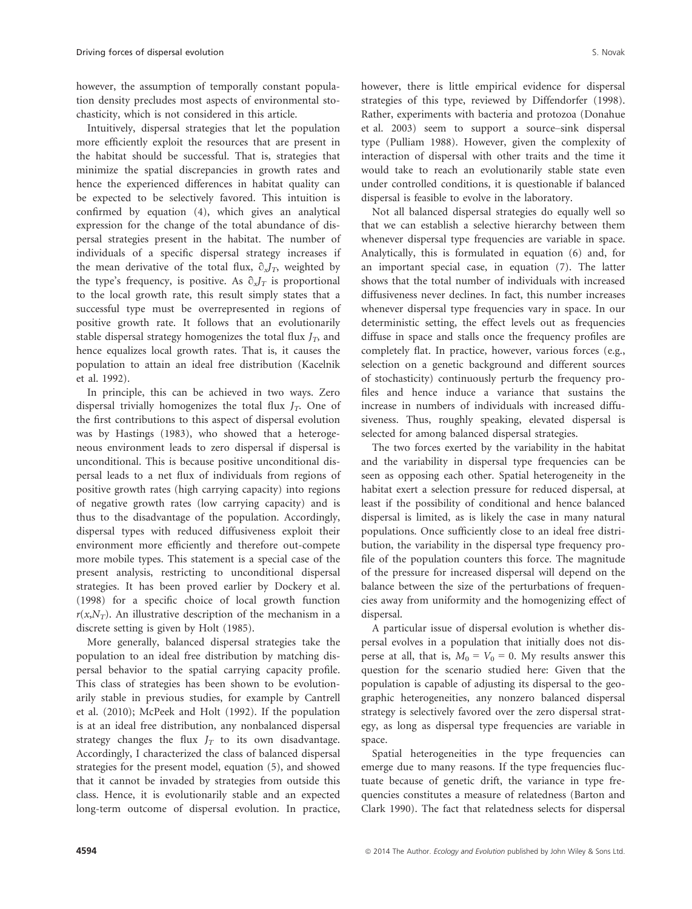however, the assumption of temporally constant population density precludes most aspects of environmental stochasticity, which is not considered in this article.

Intuitively, dispersal strategies that let the population more efficiently exploit the resources that are present in the habitat should be successful. That is, strategies that minimize the spatial discrepancies in growth rates and hence the experienced differences in habitat quality can be expected to be selectively favored. This intuition is confirmed by equation (4), which gives an analytical expression for the change of the total abundance of dispersal strategies present in the habitat. The number of individuals of a specific dispersal strategy increases if the mean derivative of the total flux,  $\partial_x J_T$ , weighted by the type's frequency, is positive. As  $\partial_{x}J_{T}$  is proportional to the local growth rate, this result simply states that a successful type must be overrepresented in regions of positive growth rate. It follows that an evolutionarily stable dispersal strategy homogenizes the total flux  $J_T$ , and hence equalizes local growth rates. That is, it causes the population to attain an ideal free distribution (Kacelnik et al. 1992).

In principle, this can be achieved in two ways. Zero dispersal trivially homogenizes the total flux  $J_T$ . One of the first contributions to this aspect of dispersal evolution was by Hastings (1983), who showed that a heterogeneous environment leads to zero dispersal if dispersal is unconditional. This is because positive unconditional dispersal leads to a net flux of individuals from regions of positive growth rates (high carrying capacity) into regions of negative growth rates (low carrying capacity) and is thus to the disadvantage of the population. Accordingly, dispersal types with reduced diffusiveness exploit their environment more efficiently and therefore out-compete more mobile types. This statement is a special case of the present analysis, restricting to unconditional dispersal strategies. It has been proved earlier by Dockery et al. (1998) for a specific choice of local growth function  $r(x, N_T)$ . An illustrative description of the mechanism in a discrete setting is given by Holt (1985).

More generally, balanced dispersal strategies take the population to an ideal free distribution by matching dispersal behavior to the spatial carrying capacity profile. This class of strategies has been shown to be evolutionarily stable in previous studies, for example by Cantrell et al. (2010); McPeek and Holt (1992). If the population is at an ideal free distribution, any nonbalanced dispersal strategy changes the flux  $J_T$  to its own disadvantage. Accordingly, I characterized the class of balanced dispersal strategies for the present model, equation (5), and showed that it cannot be invaded by strategies from outside this class. Hence, it is evolutionarily stable and an expected long-term outcome of dispersal evolution. In practice,

however, there is little empirical evidence for dispersal strategies of this type, reviewed by Diffendorfer (1998). Rather, experiments with bacteria and protozoa (Donahue et al. 2003) seem to support a source–sink dispersal type (Pulliam 1988). However, given the complexity of interaction of dispersal with other traits and the time it would take to reach an evolutionarily stable state even under controlled conditions, it is questionable if balanced dispersal is feasible to evolve in the laboratory.

Not all balanced dispersal strategies do equally well so that we can establish a selective hierarchy between them whenever dispersal type frequencies are variable in space. Analytically, this is formulated in equation (6) and, for an important special case, in equation (7). The latter shows that the total number of individuals with increased diffusiveness never declines. In fact, this number increases whenever dispersal type frequencies vary in space. In our deterministic setting, the effect levels out as frequencies diffuse in space and stalls once the frequency profiles are completely flat. In practice, however, various forces (e.g., selection on a genetic background and different sources of stochasticity) continuously perturb the frequency profiles and hence induce a variance that sustains the increase in numbers of individuals with increased diffusiveness. Thus, roughly speaking, elevated dispersal is selected for among balanced dispersal strategies.

The two forces exerted by the variability in the habitat and the variability in dispersal type frequencies can be seen as opposing each other. Spatial heterogeneity in the habitat exert a selection pressure for reduced dispersal, at least if the possibility of conditional and hence balanced dispersal is limited, as is likely the case in many natural populations. Once sufficiently close to an ideal free distribution, the variability in the dispersal type frequency profile of the population counters this force. The magnitude of the pressure for increased dispersal will depend on the balance between the size of the perturbations of frequencies away from uniformity and the homogenizing effect of dispersal.

A particular issue of dispersal evolution is whether dispersal evolves in a population that initially does not disperse at all, that is,  $M_0 = V_0 = 0$ . My results answer this question for the scenario studied here: Given that the population is capable of adjusting its dispersal to the geographic heterogeneities, any nonzero balanced dispersal strategy is selectively favored over the zero dispersal strategy, as long as dispersal type frequencies are variable in space.

Spatial heterogeneities in the type frequencies can emerge due to many reasons. If the type frequencies fluctuate because of genetic drift, the variance in type frequencies constitutes a measure of relatedness (Barton and Clark 1990). The fact that relatedness selects for dispersal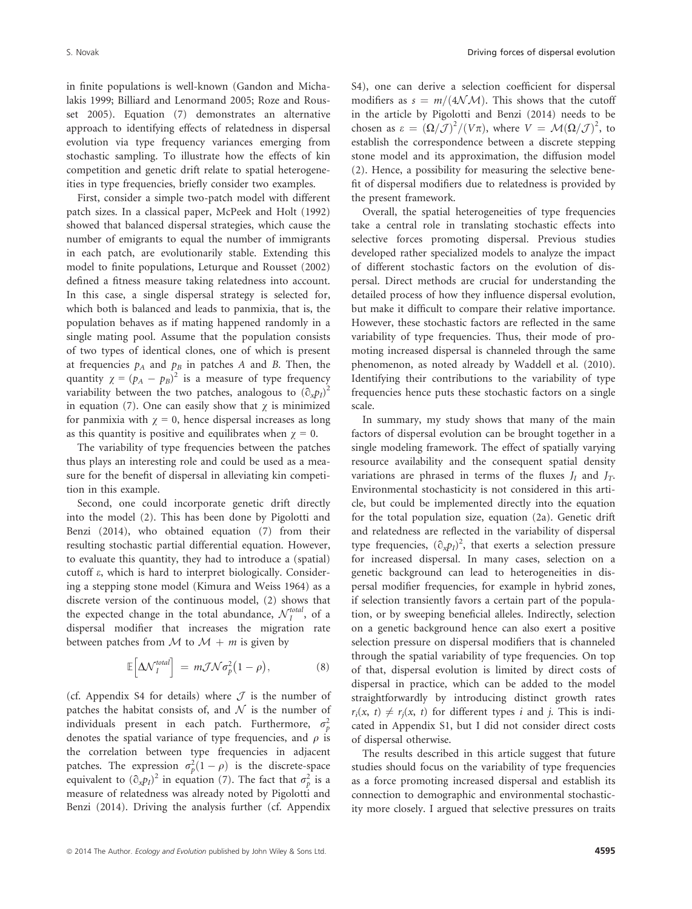in finite populations is well-known (Gandon and Michalakis 1999; Billiard and Lenormand 2005; Roze and Rousset 2005). Equation (7) demonstrates an alternative approach to identifying effects of relatedness in dispersal evolution via type frequency variances emerging from stochastic sampling. To illustrate how the effects of kin competition and genetic drift relate to spatial heterogeneities in type frequencies, briefly consider two examples.

First, consider a simple two-patch model with different patch sizes. In a classical paper, McPeek and Holt (1992) showed that balanced dispersal strategies, which cause the number of emigrants to equal the number of immigrants in each patch, are evolutionarily stable. Extending this model to finite populations, Leturque and Rousset (2002) defined a fitness measure taking relatedness into account. In this case, a single dispersal strategy is selected for, which both is balanced and leads to panmixia, that is, the population behaves as if mating happened randomly in a single mating pool. Assume that the population consists of two types of identical clones, one of which is present at frequencies  $p_A$  and  $p_B$  in patches A and B. Then, the quantity  $\chi = (p_A - p_B)^2$  is a measure of type frequency variability between the two patches, analogous to  $\left(\partial_x p_I\right)^2$ in equation (7). One can easily show that  $\chi$  is minimized for panmixia with  $\gamma = 0$ , hence dispersal increases as long as this quantity is positive and equilibrates when  $\gamma = 0$ .

The variability of type frequencies between the patches thus plays an interesting role and could be used as a measure for the benefit of dispersal in alleviating kin competition in this example.

Second, one could incorporate genetic drift directly into the model (2). This has been done by Pigolotti and Benzi (2014), who obtained equation (7) from their resulting stochastic partial differential equation. However, to evaluate this quantity, they had to introduce a (spatial) cutoff e, which is hard to interpret biologically. Considering a stepping stone model (Kimura and Weiss 1964) as a discrete version of the continuous model, (2) shows that the expected change in the total abundance,  $\mathcal{N}_I^{total}$ , of a dispersal modifier that increases the migration rate between patches from M to  $M + m$  is given by

$$
\mathbb{E}\Big[\Delta \mathcal{N}_I^{total}\Big] = m \mathcal{J} \mathcal{N} \sigma_p^2 (1 - \rho), \tag{8}
$$

(cf. Appendix S4 for details) where  $\mathcal J$  is the number of patches the habitat consists of, and  $N$  is the number of individuals present in each patch. Furthermore,  $\sigma_p^2$ denotes the spatial variance of type frequencies, and  $\rho$  is the correlation between type frequencies in adjacent patches. The expression  $\sigma_p^2(1-\rho)$  is the discrete-space equivalent to  $(\partial_x p_I)^2$  in equation (7). The fact that  $\sigma_p^2$  is a measure of relatedness was already noted by Pigolotti and Benzi (2014). Driving the analysis further (cf. Appendix S4), one can derive a selection coefficient for dispersal modifiers as  $s = m/(4\mathcal{N}\mathcal{M})$ . This shows that the cutoff in the article by Pigolotti and Benzi (2014) needs to be chosen as  $\varepsilon = (\Omega/\mathcal{J})^2/(V\pi)$ , where  $V = \mathcal{M}(\Omega/\mathcal{J})^2$ , to establish the correspondence between a discrete stepping stone model and its approximation, the diffusion model (2). Hence, a possibility for measuring the selective benefit of dispersal modifiers due to relatedness is provided by the present framework.

Overall, the spatial heterogeneities of type frequencies take a central role in translating stochastic effects into selective forces promoting dispersal. Previous studies developed rather specialized models to analyze the impact of different stochastic factors on the evolution of dispersal. Direct methods are crucial for understanding the detailed process of how they influence dispersal evolution, but make it difficult to compare their relative importance. However, these stochastic factors are reflected in the same variability of type frequencies. Thus, their mode of promoting increased dispersal is channeled through the same phenomenon, as noted already by Waddell et al. (2010). Identifying their contributions to the variability of type frequencies hence puts these stochastic factors on a single scale.

In summary, my study shows that many of the main factors of dispersal evolution can be brought together in a single modeling framework. The effect of spatially varying resource availability and the consequent spatial density variations are phrased in terms of the fluxes  $I_I$  and  $I_T$ . Environmental stochasticity is not considered in this article, but could be implemented directly into the equation for the total population size, equation (2a). Genetic drift and relatedness are reflected in the variability of dispersal type frequencies,  $(\partial_x p_I)^2$ , that exerts a selection pressure for increased dispersal. In many cases, selection on a genetic background can lead to heterogeneities in dispersal modifier frequencies, for example in hybrid zones, if selection transiently favors a certain part of the population, or by sweeping beneficial alleles. Indirectly, selection on a genetic background hence can also exert a positive selection pressure on dispersal modifiers that is channeled through the spatial variability of type frequencies. On top of that, dispersal evolution is limited by direct costs of dispersal in practice, which can be added to the model straightforwardly by introducing distinct growth rates  $r_i(x, t) \neq r_i(x, t)$  for different types i and j. This is indicated in Appendix S1, but I did not consider direct costs of dispersal otherwise.

The results described in this article suggest that future studies should focus on the variability of type frequencies as a force promoting increased dispersal and establish its connection to demographic and environmental stochasticity more closely. I argued that selective pressures on traits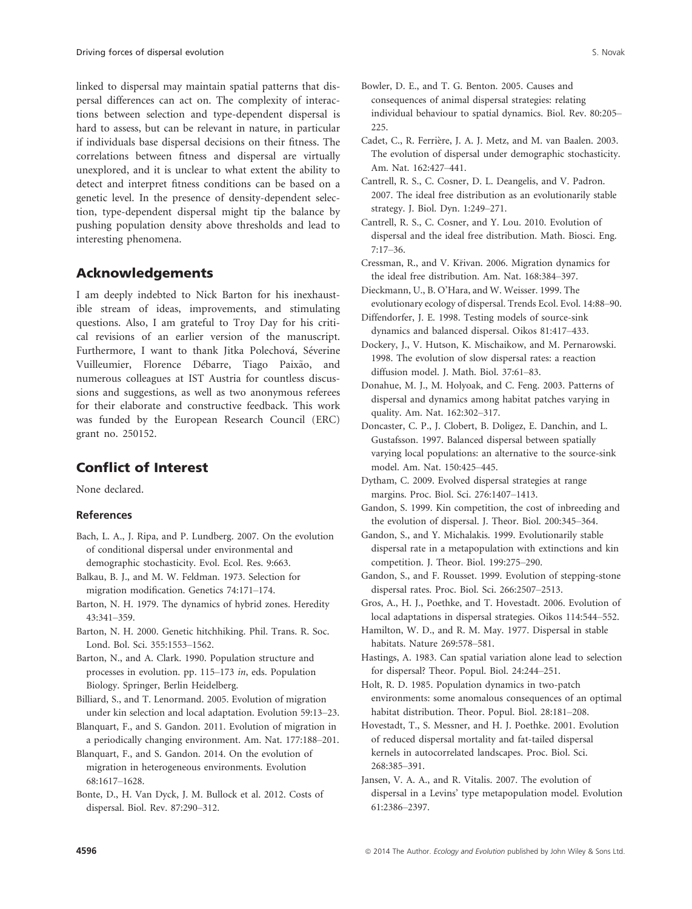linked to dispersal may maintain spatial patterns that dispersal differences can act on. The complexity of interactions between selection and type-dependent dispersal is hard to assess, but can be relevant in nature, in particular if individuals base dispersal decisions on their fitness. The correlations between fitness and dispersal are virtually unexplored, and it is unclear to what extent the ability to detect and interpret fitness conditions can be based on a genetic level. In the presence of density-dependent selection, type-dependent dispersal might tip the balance by pushing population density above thresholds and lead to interesting phenomena.

# Acknowledgements

I am deeply indebted to Nick Barton for his inexhaustible stream of ideas, improvements, and stimulating questions. Also, I am grateful to Troy Day for his critical revisions of an earlier version of the manuscript. Furthermore, I want to thank Jitka Polechová, Séverine Vuilleumier, Florence Débarre, Tiago Paixão, and numerous colleagues at IST Austria for countless discussions and suggestions, as well as two anonymous referees for their elaborate and constructive feedback. This work was funded by the European Research Council (ERC) grant no. 250152.

# Conflict of Interest

None declared.

#### References

- Bach, L. A., J. Ripa, and P. Lundberg. 2007. On the evolution of conditional dispersal under environmental and demographic stochasticity. Evol. Ecol. Res. 9:663.
- Balkau, B. J., and M. W. Feldman. 1973. Selection for migration modification. Genetics 74:171–174.
- Barton, N. H. 1979. The dynamics of hybrid zones. Heredity 43:341–359.
- Barton, N. H. 2000. Genetic hitchhiking. Phil. Trans. R. Soc. Lond. Bol. Sci. 355:1553–1562.

Barton, N., and A. Clark. 1990. Population structure and processes in evolution. pp. 115–173 in, eds. Population Biology. Springer, Berlin Heidelberg.

- Billiard, S., and T. Lenormand. 2005. Evolution of migration under kin selection and local adaptation. Evolution 59:13–23.
- Blanquart, F., and S. Gandon. 2011. Evolution of migration in a periodically changing environment. Am. Nat. 177:188–201.

Blanquart, F., and S. Gandon. 2014. On the evolution of migration in heterogeneous environments. Evolution 68:1617–1628.

Bonte, D., H. Van Dyck, J. M. Bullock et al. 2012. Costs of dispersal. Biol. Rev. 87:290–312.

- Bowler, D. E., and T. G. Benton. 2005. Causes and consequences of animal dispersal strategies: relating individual behaviour to spatial dynamics. Biol. Rev. 80:205– 225.
- Cadet, C., R. Ferriere, J. A. J. Metz, and M. van Baalen. 2003. The evolution of dispersal under demographic stochasticity. Am. Nat. 162:427–441.

Cantrell, R. S., C. Cosner, D. L. Deangelis, and V. Padron. 2007. The ideal free distribution as an evolutionarily stable strategy. J. Biol. Dyn. 1:249–271.

Cantrell, R. S., C. Cosner, and Y. Lou. 2010. Evolution of dispersal and the ideal free distribution. Math. Biosci. Eng. 7:17–36.

Cressman, R., and V. Krivan. 2006. Migration dynamics for the ideal free distribution. Am. Nat. 168:384–397.

- Dieckmann, U., B. O'Hara, and W. Weisser. 1999. The evolutionary ecology of dispersal. Trends Ecol. Evol. 14:88–90.
- Diffendorfer, J. E. 1998. Testing models of source-sink dynamics and balanced dispersal. Oikos 81:417–433.
- Dockery, J., V. Hutson, K. Mischaikow, and M. Pernarowski. 1998. The evolution of slow dispersal rates: a reaction diffusion model. J. Math. Biol. 37:61–83.
- Donahue, M. J., M. Holyoak, and C. Feng. 2003. Patterns of dispersal and dynamics among habitat patches varying in quality. Am. Nat. 162:302–317.
- Doncaster, C. P., J. Clobert, B. Doligez, E. Danchin, and L. Gustafsson. 1997. Balanced dispersal between spatially varying local populations: an alternative to the source-sink model. Am. Nat. 150:425–445.
- Dytham, C. 2009. Evolved dispersal strategies at range margins. Proc. Biol. Sci. 276:1407–1413.
- Gandon, S. 1999. Kin competition, the cost of inbreeding and the evolution of dispersal. J. Theor. Biol. 200:345–364.
- Gandon, S., and Y. Michalakis. 1999. Evolutionarily stable dispersal rate in a metapopulation with extinctions and kin competition. J. Theor. Biol. 199:275–290.
- Gandon, S., and F. Rousset. 1999. Evolution of stepping-stone dispersal rates. Proc. Biol. Sci. 266:2507–2513.
- Gros, A., H. J., Poethke, and T. Hovestadt. 2006. Evolution of local adaptations in dispersal strategies. Oikos 114:544–552.
- Hamilton, W. D., and R. M. May. 1977. Dispersal in stable habitats. Nature 269:578–581.
- Hastings, A. 1983. Can spatial variation alone lead to selection for dispersal? Theor. Popul. Biol. 24:244–251.

Holt, R. D. 1985. Population dynamics in two-patch environments: some anomalous consequences of an optimal habitat distribution. Theor. Popul. Biol. 28:181–208.

- Hovestadt, T., S. Messner, and H. J. Poethke. 2001. Evolution of reduced dispersal mortality and fat-tailed dispersal kernels in autocorrelated landscapes. Proc. Biol. Sci. 268:385–391.
- Jansen, V. A. A., and R. Vitalis. 2007. The evolution of dispersal in a Levins' type metapopulation model. Evolution 61:2386–2397.